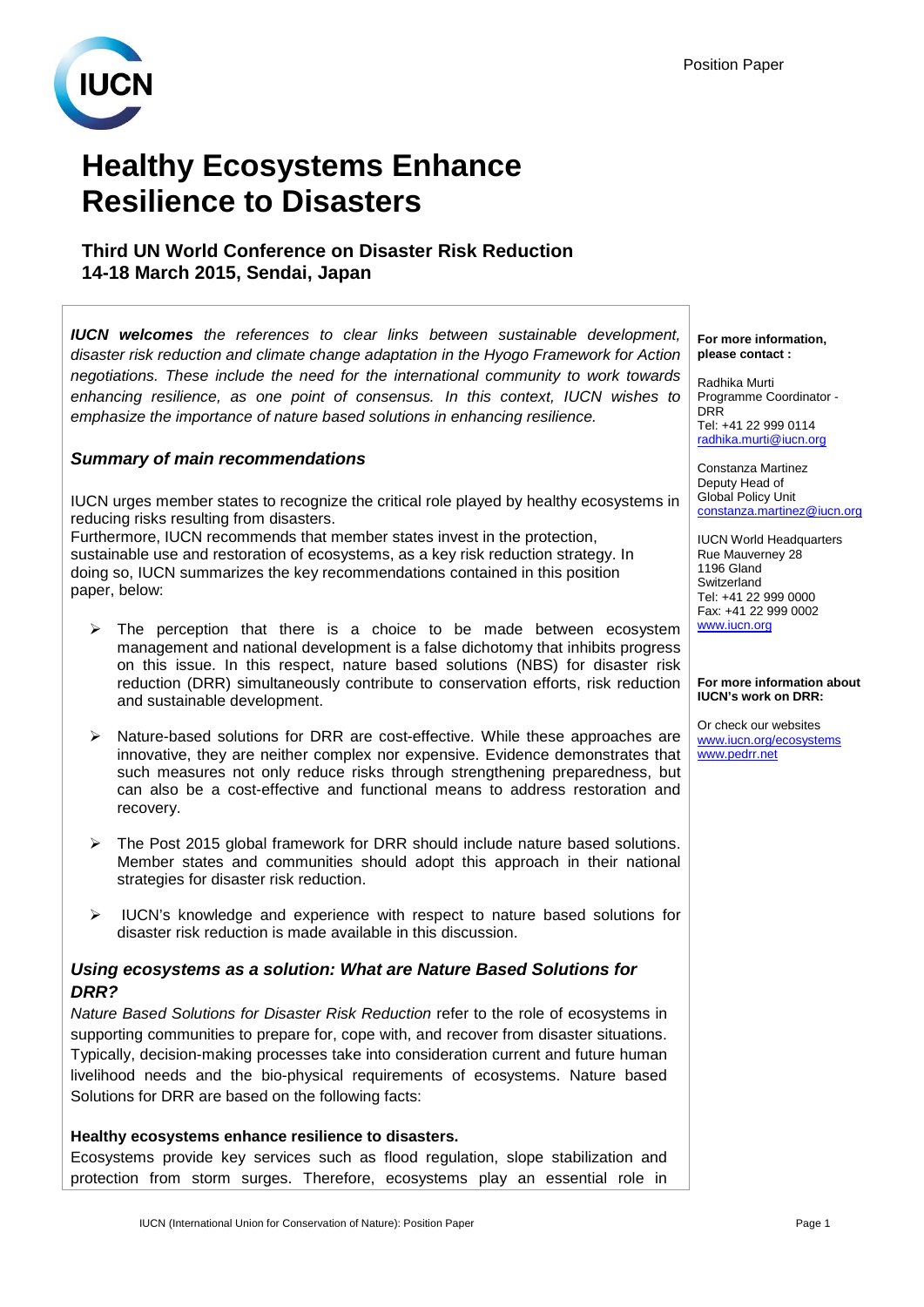

# **Healthy Ecosystems Enhance Resilience to Disasters**

## **Third UN World Conference on Disaster Risk Reduction 14-18 March 2015, Sendai, Japan**

*IUCN welcomes the references to clear links between sustainable development, disaster risk reduction and climate change adaptation in the Hyogo Framework for Action negotiations. These include the need for the international community to work towards enhancing resilience, as one point of consensus. In this context, IUCN wishes to emphasize the importance of nature based solutions in enhancing resilience.* 

### *Summary of main recommendations*

IUCN urges member states to recognize the critical role played by healthy ecosystems in reducing risks resulting from disasters.

Furthermore, IUCN recommends that member states invest in the protection, sustainable use and restoration of ecosystems, as a key risk reduction strategy. In doing so, IUCN summarizes the key recommendations contained in this position paper, below:

- $\triangleright$  The perception that there is a choice to be made between ecosystem management and national development is a false dichotomy that inhibits progress on this issue. In this respect, nature based solutions (NBS) for disaster risk reduction (DRR) simultaneously contribute to conservation efforts, risk reduction and sustainable development.
- $\triangleright$  Nature-based solutions for DRR are cost-effective. While these approaches are innovative, they are neither complex nor expensive. Evidence demonstrates that such measures not only reduce risks through strengthening preparedness, but can also be a cost-effective and functional means to address restoration and recovery.
- $\triangleright$  The Post 2015 global framework for DRR should include nature based solutions. Member states and communities should adopt this approach in their national strategies for disaster risk reduction.
- $\triangleright$  IUCN's knowledge and experience with respect to nature based solutions for disaster risk reduction is made available in this discussion.

#### *Using ecosystems as a solution: What are Nature Based Solutions for DRR?*

*Nature Based Solutions for Disaster Risk Reduction* refer to the role of ecosystems in supporting communities to prepare for, cope with, and recover from disaster situations. Typically, decision-making processes take into consideration current and future human livelihood needs and the bio-physical requirements of ecosystems. Nature based Solutions for DRR are based on the following facts:

#### **Healthy ecosystems enhance resilience to disasters.**

Ecosystems provide key services such as flood regulation, slope stabilization and protection from storm surges. Therefore, ecosystems play an essential role in **For more information, please contact :**

Radhika Murti Programme Coordinator - **DRR** Tel: +41 22 999 0114 [radhika.murti@iucn.org](mailto:radhika.murti@iucn.org)

Constanza Martinez Deputy Head of Global Policy Unit [constanza.martinez@iucn.org](mailto:constanza.martinez@iucn.org)

IUCN World Headquarters Rue Mauverney 28 1196 Gland **Switzerland** Tel: +41 22 999 0000 Fax: +41 22 999 0002 [www.iucn.org](http://www.iucn.org/)

#### **For more information about IUCN's work on DRR:**

Or check our websites [www.iucn.org/ecosystems](http://www.iucn.org/ecosystems) [www.pedrr.net](http://www.pedrr.net/)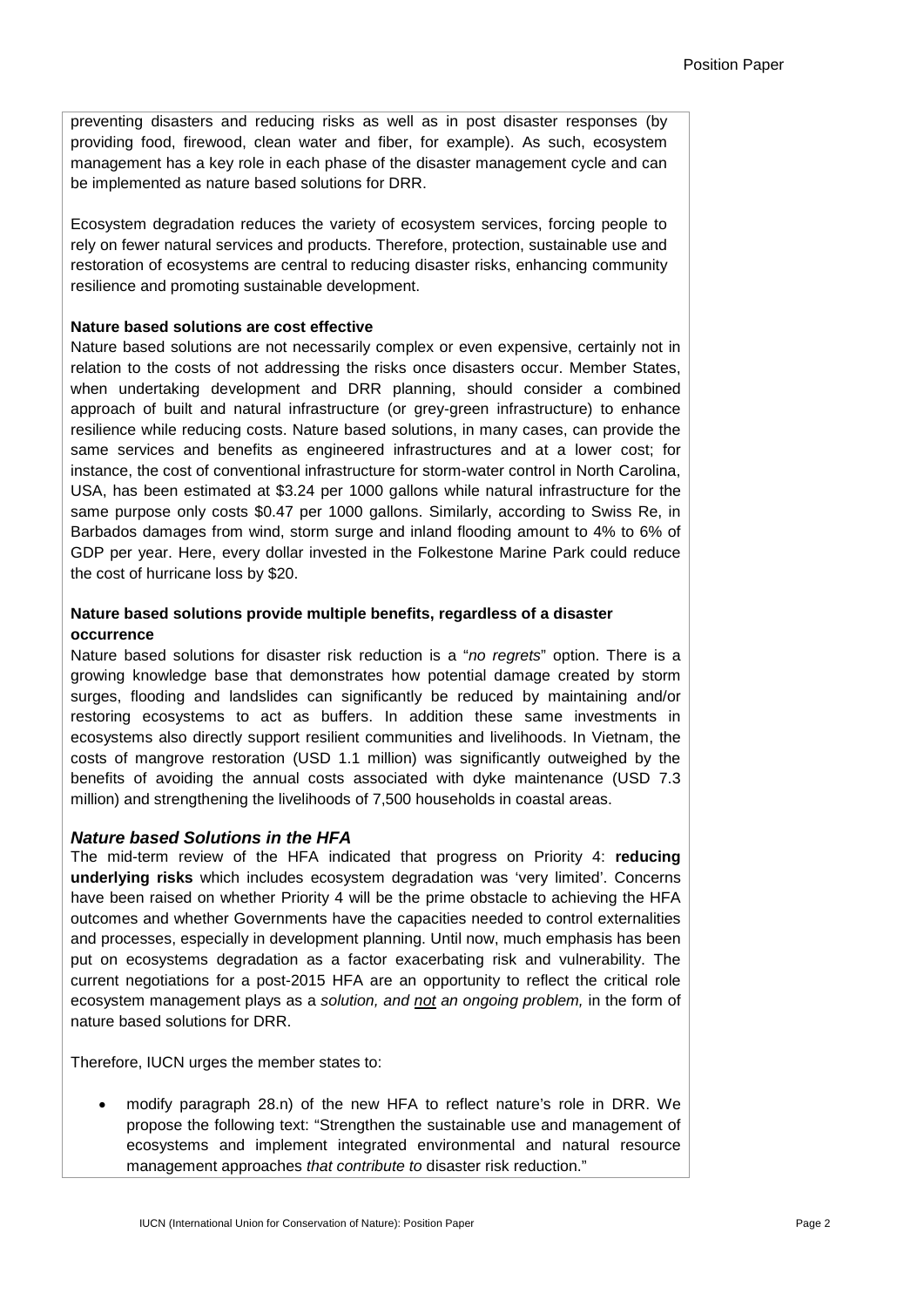preventing disasters and reducing risks as well as in post disaster responses (by providing food, firewood, clean water and fiber, for example). As such, ecosystem management has a key role in each phase of the disaster management cycle and can be implemented as nature based solutions for DRR.

Ecosystem degradation reduces the variety of ecosystem services, forcing people to rely on fewer natural services and products. Therefore, protection, sustainable use and restoration of ecosystems are central to reducing disaster risks, enhancing community resilience and promoting sustainable development.

#### **Nature based solutions are cost effective**

Nature based solutions are not necessarily complex or even expensive, certainly not in relation to the costs of not addressing the risks once disasters occur. Member States, when undertaking development and DRR planning, should consider a combined approach of built and natural infrastructure (or grey-green infrastructure) to enhance resilience while reducing costs. Nature based solutions, in many cases, can provide the same services and benefits as engineered infrastructures and at a lower cost; for instance, the cost of conventional infrastructure for storm-water control in North Carolina, USA, has been estimated at \$3.24 per 1000 gallons while natural infrastructure for the same purpose only costs \$0.47 per 1000 gallons. Similarly, according to Swiss Re, in Barbados damages from wind, storm surge and inland flooding amount to 4% to 6% of GDP per year. Here, every dollar invested in the Folkestone Marine Park could reduce the cost of hurricane loss by \$20.

#### **Nature based solutions provide multiple benefits, regardless of a disaster occurrence**

Nature based solutions for disaster risk reduction is a "*no regrets*" option. There is a growing knowledge base that demonstrates how potential damage created by storm surges, flooding and landslides can significantly be reduced by maintaining and/or restoring ecosystems to act as buffers. In addition these same investments in ecosystems also directly support resilient communities and livelihoods. In Vietnam, the costs of mangrove restoration (USD 1.1 million) was significantly outweighed by the benefits of avoiding the annual costs associated with dyke maintenance (USD 7.3 million) and strengthening the livelihoods of 7,500 households in coastal areas.

#### *Nature based Solutions in the HFA*

The mid-term review of the HFA indicated that progress on Priority 4: **reducing underlying risks** which includes ecosystem degradation was 'very limited'. Concerns have been raised on whether Priority 4 will be the prime obstacle to achieving the HFA outcomes and whether Governments have the capacities needed to control externalities and processes, especially in development planning. Until now, much emphasis has been put on ecosystems degradation as a factor exacerbating risk and vulnerability. The current negotiations for a post-2015 HFA are an opportunity to reflect the critical role ecosystem management plays as a *solution, and not an ongoing problem,* in the form of nature based solutions for DRR.

Therefore, IUCN urges the member states to:

• modify paragraph 28.n) of the new HFA to reflect nature's role in DRR. We propose the following text: "Strengthen the sustainable use and management of ecosystems and implement integrated environmental and natural resource management approaches *that contribute to* disaster risk reduction."